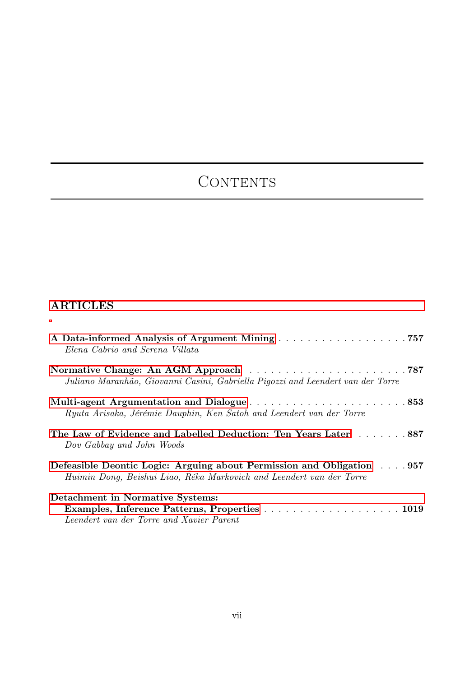## CONTENTS

## ARTICLES

| A Data-informed Analysis of Argument Mining 757<br>Elena Cabrio and Serena Villata                                                            |  |
|-----------------------------------------------------------------------------------------------------------------------------------------------|--|
| Juliano Maranhão, Giovanni Casini, Gabriella Pigozzi and Leendert van der Torre                                                               |  |
| Ryuta Arisaka, Jérémie Dauphin, Ken Satoh and Leendert van der Torre                                                                          |  |
| The Law of Evidence and Labelled Deduction: Ten Years Later 887<br>Dov Gabbay and John Woods                                                  |  |
| Defeasible Deontic Logic: Arguing about Permission and Obligation 957<br>Huimin Dong, Beishui Liao, Réka Markovich and Leendert van der Torre |  |
| Detachment in Normative Systems:<br>Examples, Inference Patterns, Properties 1019<br>Leendert van der Torre and Xavier Parent                 |  |